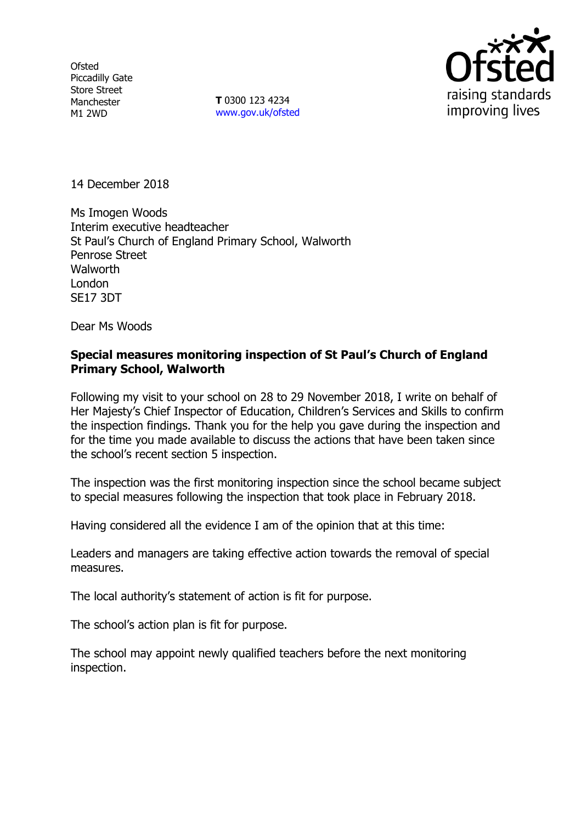**Ofsted** Piccadilly Gate Store Street Manchester M1 2WD

**T** 0300 123 4234 [www.gov.uk/ofsted](http://www.gov.uk/ofsted)



14 December 2018

Ms Imogen Woods Interim executive headteacher St Paul's Church of England Primary School, Walworth Penrose Street **Walworth** London SE17 3DT

Dear Ms Woods

### **Special measures monitoring inspection of St Paul's Church of England Primary School, Walworth**

Following my visit to your school on 28 to 29 November 2018, I write on behalf of Her Majesty's Chief Inspector of Education, Children's Services and Skills to confirm the inspection findings. Thank you for the help you gave during the inspection and for the time you made available to discuss the actions that have been taken since the school's recent section 5 inspection.

The inspection was the first monitoring inspection since the school became subject to special measures following the inspection that took place in February 2018.

Having considered all the evidence I am of the opinion that at this time:

Leaders and managers are taking effective action towards the removal of special measures.

The local authority's statement of action is fit for purpose.

The school's action plan is fit for purpose.

The school may appoint newly qualified teachers before the next monitoring inspection.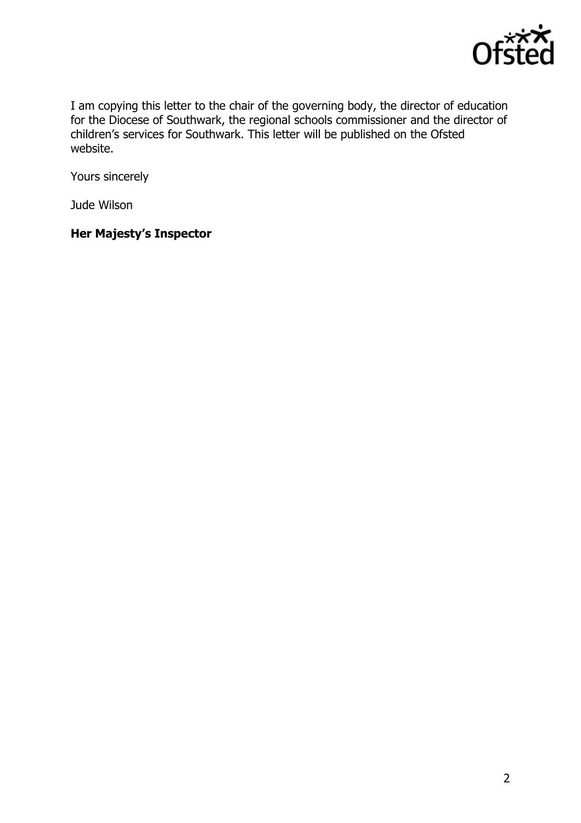

I am copying this letter to the chair of the governing body, the director of education for the Diocese of Southwark, the regional schools commissioner and the director of children's services for Southwark. This letter will be published on the Ofsted website.

Yours sincerely

Jude Wilson

# **Her Majesty's Inspector**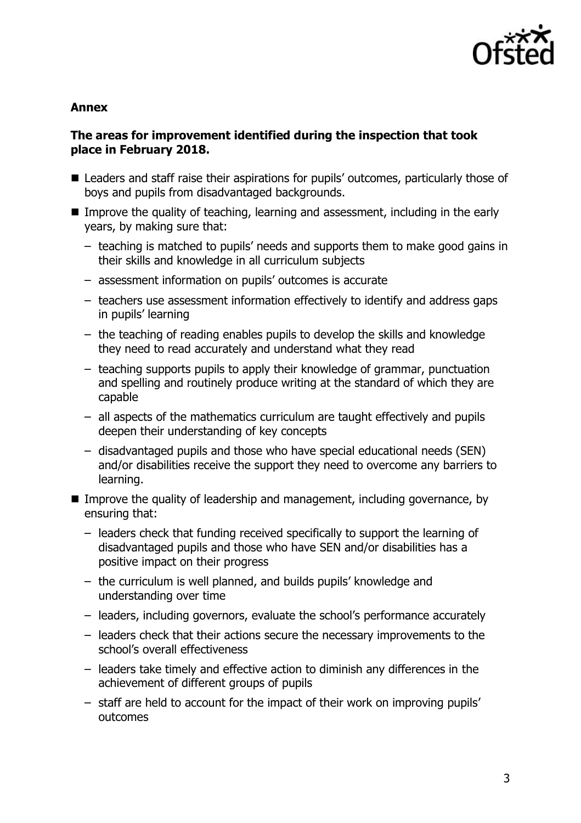

#### **Annex**

### **The areas for improvement identified during the inspection that took place in February 2018.**

- Leaders and staff raise their aspirations for pupils' outcomes, particularly those of boys and pupils from disadvantaged backgrounds.
- Improve the quality of teaching, learning and assessment, including in the early years, by making sure that:
	- teaching is matched to pupils' needs and supports them to make good gains in their skills and knowledge in all curriculum subjects
	- assessment information on pupils' outcomes is accurate
	- teachers use assessment information effectively to identify and address gaps in pupils' learning
	- the teaching of reading enables pupils to develop the skills and knowledge they need to read accurately and understand what they read
	- teaching supports pupils to apply their knowledge of grammar, punctuation and spelling and routinely produce writing at the standard of which they are capable
	- all aspects of the mathematics curriculum are taught effectively and pupils deepen their understanding of key concepts
	- disadvantaged pupils and those who have special educational needs (SEN) and/or disabilities receive the support they need to overcome any barriers to learning.
- Improve the quality of leadership and management, including governance, by ensuring that:
	- leaders check that funding received specifically to support the learning of disadvantaged pupils and those who have SEN and/or disabilities has a positive impact on their progress
	- the curriculum is well planned, and builds pupils' knowledge and understanding over time
	- leaders, including governors, evaluate the school's performance accurately
	- leaders check that their actions secure the necessary improvements to the school's overall effectiveness
	- leaders take timely and effective action to diminish any differences in the achievement of different groups of pupils
	- staff are held to account for the impact of their work on improving pupils' outcomes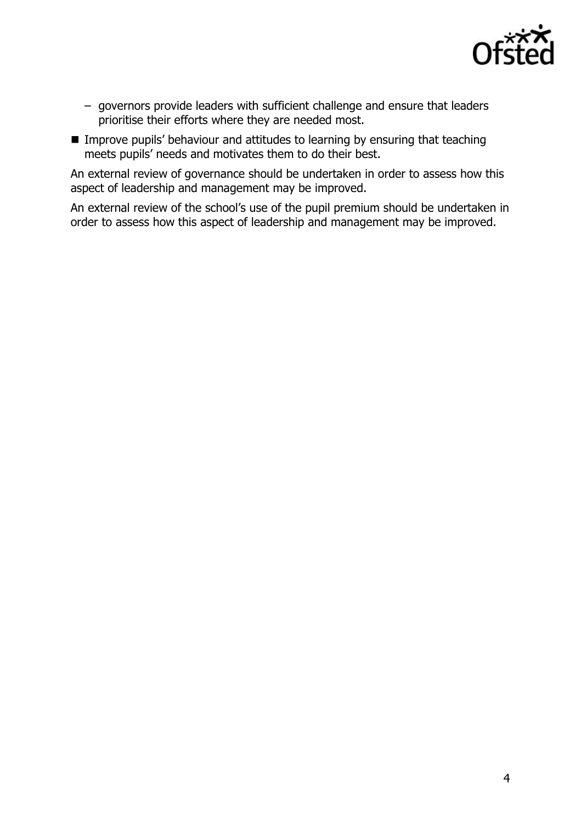

- governors provide leaders with sufficient challenge and ensure that leaders prioritise their efforts where they are needed most.
- **IMPROVE PUPILS' behaviour and attitudes to learning by ensuring that teaching** meets pupils' needs and motivates them to do their best.

An external review of governance should be undertaken in order to assess how this aspect of leadership and management may be improved.

An external review of the school's use of the pupil premium should be undertaken in order to assess how this aspect of leadership and management may be improved.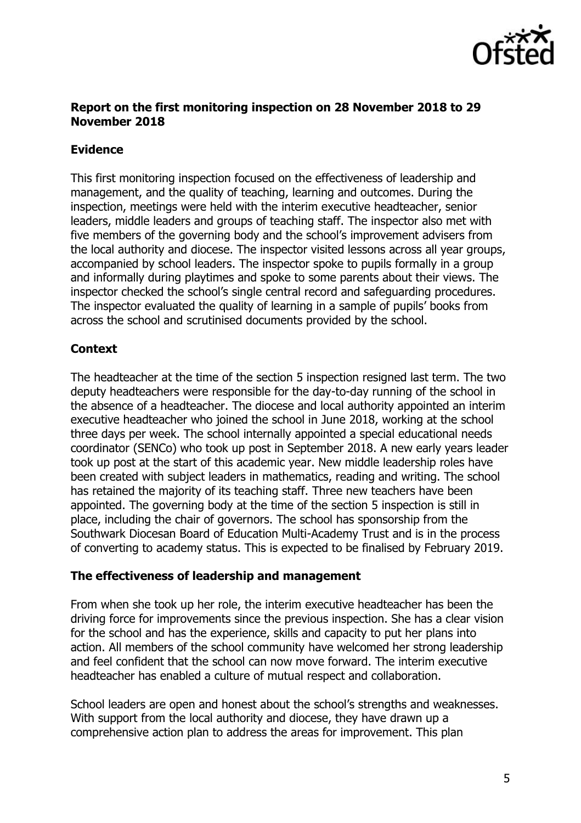

### **Report on the first monitoring inspection on 28 November 2018 to 29 November 2018**

### **Evidence**

This first monitoring inspection focused on the effectiveness of leadership and management, and the quality of teaching, learning and outcomes. During the inspection, meetings were held with the interim executive headteacher, senior leaders, middle leaders and groups of teaching staff. The inspector also met with five members of the governing body and the school's improvement advisers from the local authority and diocese. The inspector visited lessons across all year groups, accompanied by school leaders. The inspector spoke to pupils formally in a group and informally during playtimes and spoke to some parents about their views. The inspector checked the school's single central record and safeguarding procedures. The inspector evaluated the quality of learning in a sample of pupils' books from across the school and scrutinised documents provided by the school.

## **Context**

The headteacher at the time of the section 5 inspection resigned last term. The two deputy headteachers were responsible for the day-to-day running of the school in the absence of a headteacher. The diocese and local authority appointed an interim executive headteacher who joined the school in June 2018, working at the school three days per week. The school internally appointed a special educational needs coordinator (SENCo) who took up post in September 2018. A new early years leader took up post at the start of this academic year. New middle leadership roles have been created with subject leaders in mathematics, reading and writing. The school has retained the majority of its teaching staff. Three new teachers have been appointed. The governing body at the time of the section 5 inspection is still in place, including the chair of governors. The school has sponsorship from the Southwark Diocesan Board of Education Multi-Academy Trust and is in the process of converting to academy status. This is expected to be finalised by February 2019.

### **The effectiveness of leadership and management**

From when she took up her role, the interim executive headteacher has been the driving force for improvements since the previous inspection. She has a clear vision for the school and has the experience, skills and capacity to put her plans into action. All members of the school community have welcomed her strong leadership and feel confident that the school can now move forward. The interim executive headteacher has enabled a culture of mutual respect and collaboration.

School leaders are open and honest about the school's strengths and weaknesses. With support from the local authority and diocese, they have drawn up a comprehensive action plan to address the areas for improvement. This plan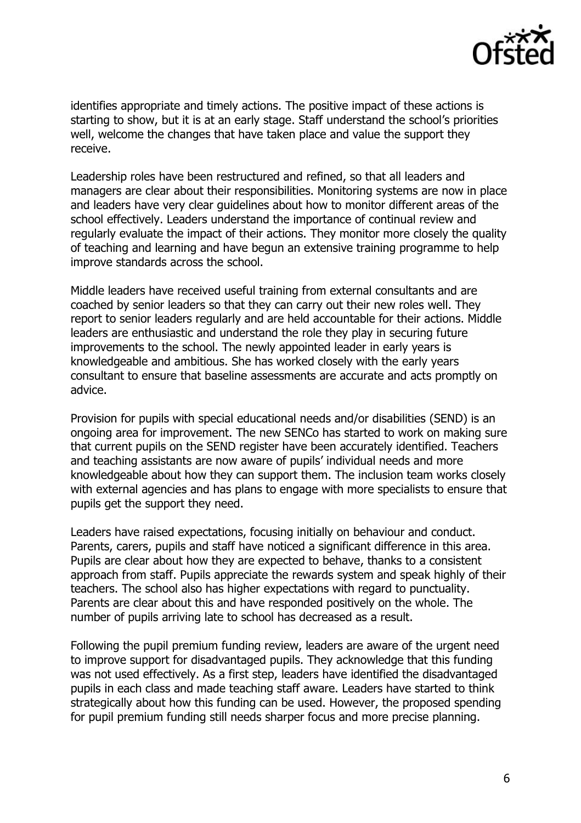

identifies appropriate and timely actions. The positive impact of these actions is starting to show, but it is at an early stage. Staff understand the school's priorities well, welcome the changes that have taken place and value the support they receive.

Leadership roles have been restructured and refined, so that all leaders and managers are clear about their responsibilities. Monitoring systems are now in place and leaders have very clear guidelines about how to monitor different areas of the school effectively. Leaders understand the importance of continual review and regularly evaluate the impact of their actions. They monitor more closely the quality of teaching and learning and have begun an extensive training programme to help improve standards across the school.

Middle leaders have received useful training from external consultants and are coached by senior leaders so that they can carry out their new roles well. They report to senior leaders regularly and are held accountable for their actions. Middle leaders are enthusiastic and understand the role they play in securing future improvements to the school. The newly appointed leader in early years is knowledgeable and ambitious. She has worked closely with the early years consultant to ensure that baseline assessments are accurate and acts promptly on advice.

Provision for pupils with special educational needs and/or disabilities (SEND) is an ongoing area for improvement. The new SENCo has started to work on making sure that current pupils on the SEND register have been accurately identified. Teachers and teaching assistants are now aware of pupils' individual needs and more knowledgeable about how they can support them. The inclusion team works closely with external agencies and has plans to engage with more specialists to ensure that pupils get the support they need.

Leaders have raised expectations, focusing initially on behaviour and conduct. Parents, carers, pupils and staff have noticed a significant difference in this area. Pupils are clear about how they are expected to behave, thanks to a consistent approach from staff. Pupils appreciate the rewards system and speak highly of their teachers. The school also has higher expectations with regard to punctuality. Parents are clear about this and have responded positively on the whole. The number of pupils arriving late to school has decreased as a result.

Following the pupil premium funding review, leaders are aware of the urgent need to improve support for disadvantaged pupils. They acknowledge that this funding was not used effectively. As a first step, leaders have identified the disadvantaged pupils in each class and made teaching staff aware. Leaders have started to think strategically about how this funding can be used. However, the proposed spending for pupil premium funding still needs sharper focus and more precise planning.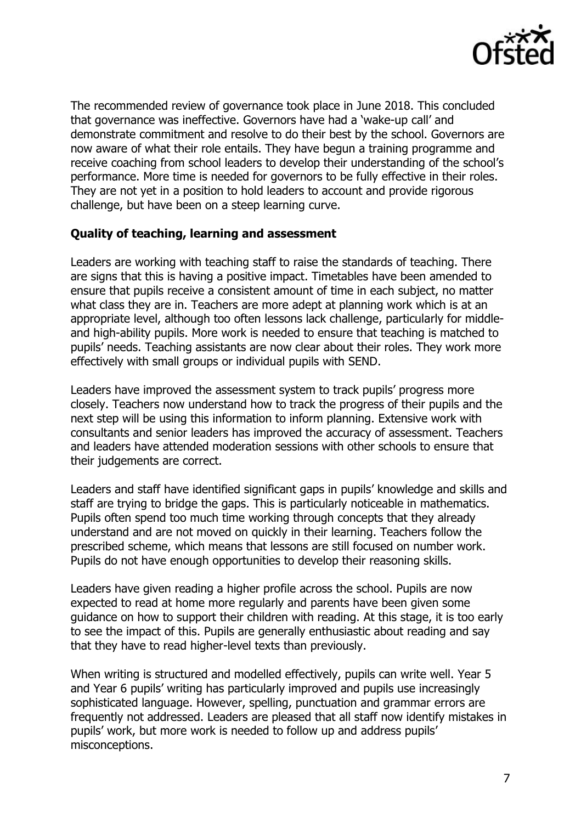

The recommended review of governance took place in June 2018. This concluded that governance was ineffective. Governors have had a 'wake-up call' and demonstrate commitment and resolve to do their best by the school. Governors are now aware of what their role entails. They have begun a training programme and receive coaching from school leaders to develop their understanding of the school's performance. More time is needed for governors to be fully effective in their roles. They are not yet in a position to hold leaders to account and provide rigorous challenge, but have been on a steep learning curve.

### **Quality of teaching, learning and assessment**

Leaders are working with teaching staff to raise the standards of teaching. There are signs that this is having a positive impact. Timetables have been amended to ensure that pupils receive a consistent amount of time in each subject, no matter what class they are in. Teachers are more adept at planning work which is at an appropriate level, although too often lessons lack challenge, particularly for middleand high-ability pupils. More work is needed to ensure that teaching is matched to pupils' needs. Teaching assistants are now clear about their roles. They work more effectively with small groups or individual pupils with SEND.

Leaders have improved the assessment system to track pupils' progress more closely. Teachers now understand how to track the progress of their pupils and the next step will be using this information to inform planning. Extensive work with consultants and senior leaders has improved the accuracy of assessment. Teachers and leaders have attended moderation sessions with other schools to ensure that their judgements are correct.

Leaders and staff have identified significant gaps in pupils' knowledge and skills and staff are trying to bridge the gaps. This is particularly noticeable in mathematics. Pupils often spend too much time working through concepts that they already understand and are not moved on quickly in their learning. Teachers follow the prescribed scheme, which means that lessons are still focused on number work. Pupils do not have enough opportunities to develop their reasoning skills.

Leaders have given reading a higher profile across the school. Pupils are now expected to read at home more regularly and parents have been given some guidance on how to support their children with reading. At this stage, it is too early to see the impact of this. Pupils are generally enthusiastic about reading and say that they have to read higher-level texts than previously.

When writing is structured and modelled effectively, pupils can write well. Year 5 and Year 6 pupils' writing has particularly improved and pupils use increasingly sophisticated language. However, spelling, punctuation and grammar errors are frequently not addressed. Leaders are pleased that all staff now identify mistakes in pupils' work, but more work is needed to follow up and address pupils' misconceptions.